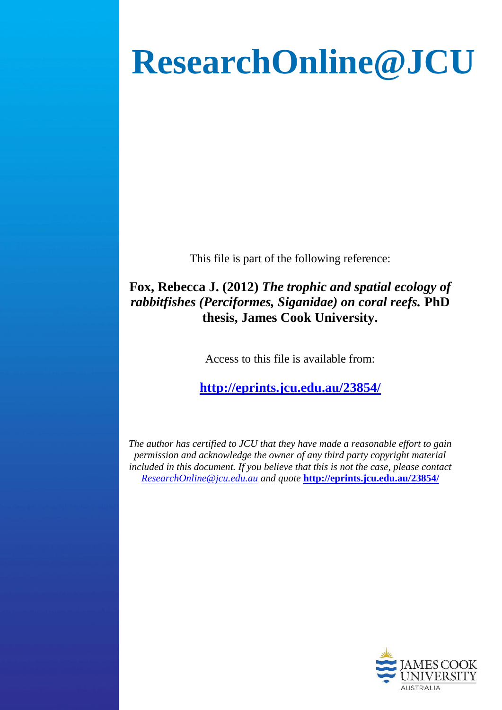# **ResearchOnline@JCU**

This file is part of the following reference:

## **Fox, Rebecca J. (2012)** *The trophic and spatial ecology of rabbitfishes (Perciformes, Siganidae) on coral reefs.* **PhD thesis, James Cook University.**

Access to this file is available from:

**<http://eprints.jcu.edu.au/23854/>**

*The author has certified to JCU that they have made a reasonable effort to gain permission and acknowledge the owner of any third party copyright material included in this document. If you believe that this is not the case, please contact [ResearchOnline@jcu.edu.au](mailto:ResearchOnline@jcu.edu.au) and quote* **<http://eprints.jcu.edu.au/23854/>**

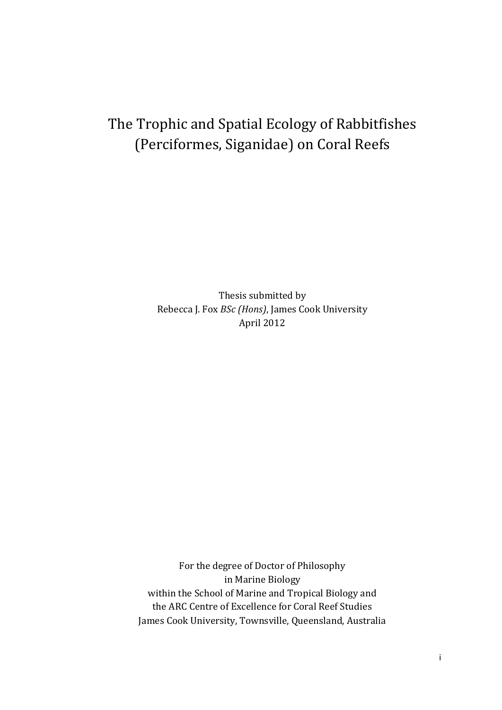# The Trophic and Spatial Ecology of Rabbitfishes (Perciformes, Siganidae) on Coral Reefs

Thesis submitted by Rebecca J. Fox *BSc (Hons)*, James Cook University April 2012

For the degree of Doctor of Philosophy in Marine Biology within the School of Marine and Tropical Biology and the ARC Centre of Excellence for Coral Reef Studies James Cook University, Townsville, Queensland, Australia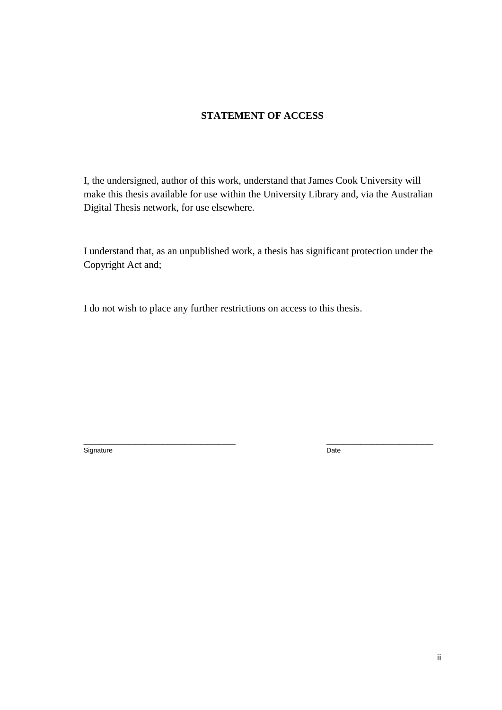#### **STATEMENT OF ACCESS**

I, the undersigned, author of this work, understand that James Cook University will make this thesis available for use within the University Library and, via the Australian Digital Thesis network, for use elsewhere.

I understand that, as an unpublished work, a thesis has significant protection under the Copyright Act and;

\_\_\_\_\_\_\_\_\_\_\_\_\_\_\_\_\_\_\_\_\_\_\_\_\_\_\_ \_\_\_\_\_\_\_\_\_\_\_\_\_\_\_\_\_\_\_

I do not wish to place any further restrictions on access to this thesis.

Signature Date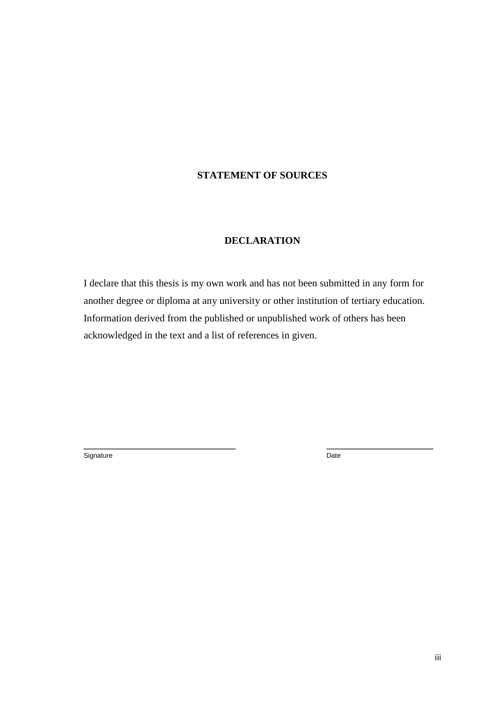### **STATEMENT OF SOURCES**

#### **DECLARATION**

I declare that this thesis is my own work and has not been submitted in any form for another degree or diploma at any university or other institution of tertiary education. Information derived from the published or unpublished work of others has been acknowledged in the text and a list of references in given.

\_\_\_\_\_\_\_\_\_\_\_\_\_\_\_\_\_\_\_\_\_\_\_\_\_\_\_ \_\_\_\_\_\_\_\_\_\_\_\_\_\_\_\_\_\_\_

Signature Date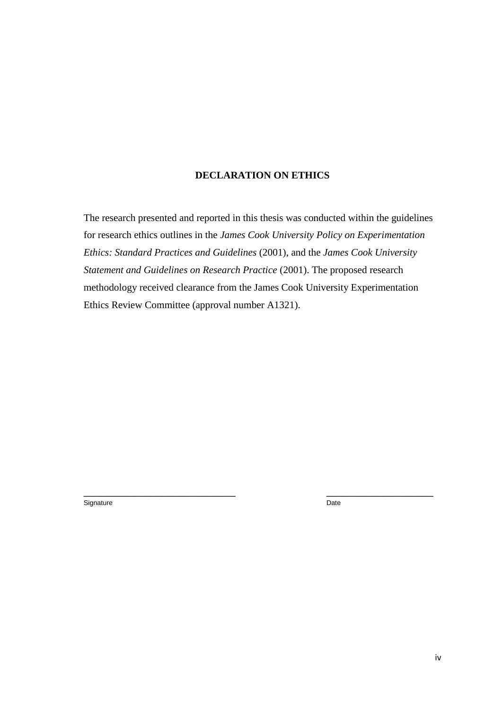#### **DECLARATION ON ETHICS**

The research presented and reported in this thesis was conducted within the guidelines for research ethics outlines in the *James Cook University Policy on Experimentation Ethics: Standard Practices and Guidelines* (2001), and the *James Cook University Statement and Guidelines on Research Practice* (2001). The proposed research methodology received clearance from the James Cook University Experimentation Ethics Review Committee (approval number A1321).

 $\overline{\phantom{a}}$  , and the contract of the contract of the contract of the contract of the contract of the contract of the contract of the contract of the contract of the contract of the contract of the contract of the contrac

Signature Date Date Communications and the Date Date Date Date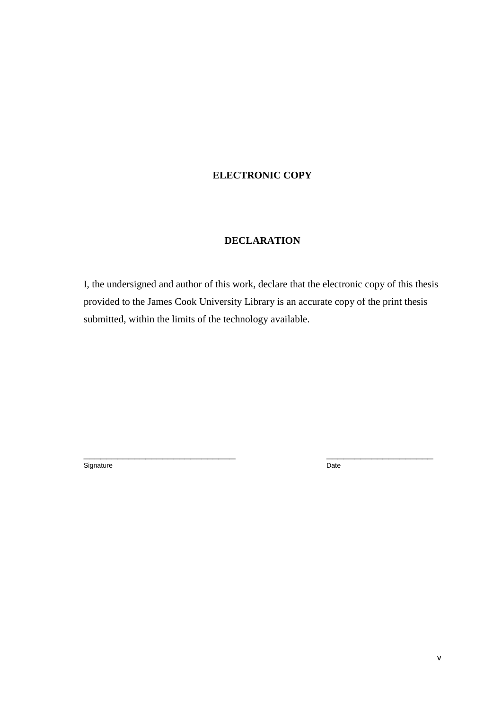#### **ELECTRONIC COPY**

#### **DECLARATION**

I, the undersigned and author of this work, declare that the electronic copy of this thesis provided to the James Cook University Library is an accurate copy of the print thesis submitted, within the limits of the technology available.

 $\overline{\phantom{a}}$  , and the contract of the contract of the contract of the contract of the contract of the contract of the contract of the contract of the contract of the contract of the contract of the contract of the contrac

Signature Date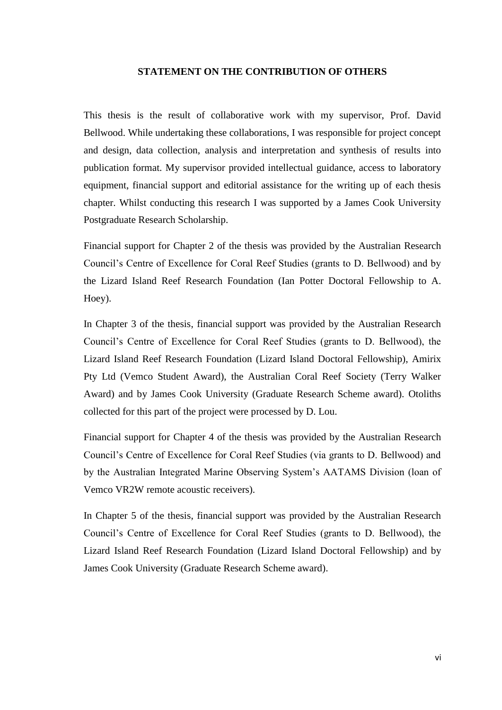#### **STATEMENT ON THE CONTRIBUTION OF OTHERS**

This thesis is the result of collaborative work with my supervisor, Prof. David Bellwood. While undertaking these collaborations, I was responsible for project concept and design, data collection, analysis and interpretation and synthesis of results into publication format. My supervisor provided intellectual guidance, access to laboratory equipment, financial support and editorial assistance for the writing up of each thesis chapter. Whilst conducting this research I was supported by a James Cook University Postgraduate Research Scholarship.

Financial support for Chapter 2 of the thesis was provided by the Australian Research Council's Centre of Excellence for Coral Reef Studies (grants to D. Bellwood) and by the Lizard Island Reef Research Foundation (Ian Potter Doctoral Fellowship to A. Hoey).

In Chapter 3 of the thesis, financial support was provided by the Australian Research Council's Centre of Excellence for Coral Reef Studies (grants to D. Bellwood), the Lizard Island Reef Research Foundation (Lizard Island Doctoral Fellowship), Amirix Pty Ltd (Vemco Student Award), the Australian Coral Reef Society (Terry Walker Award) and by James Cook University (Graduate Research Scheme award). Otoliths collected for this part of the project were processed by D. Lou.

Financial support for Chapter 4 of the thesis was provided by the Australian Research Council's Centre of Excellence for Coral Reef Studies (via grants to D. Bellwood) and by the Australian Integrated Marine Observing System's AATAMS Division (loan of Vemco VR2W remote acoustic receivers).

In Chapter 5 of the thesis, financial support was provided by the Australian Research Council's Centre of Excellence for Coral Reef Studies (grants to D. Bellwood), the Lizard Island Reef Research Foundation (Lizard Island Doctoral Fellowship) and by James Cook University (Graduate Research Scheme award).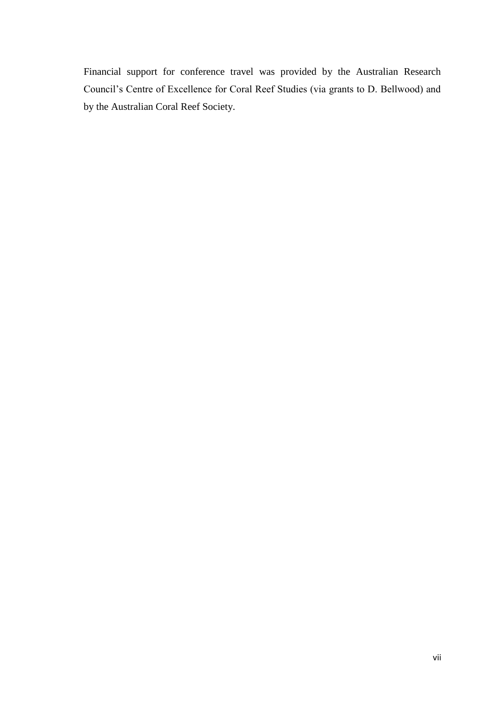Financial support for conference travel was provided by the Australian Research Council's Centre of Excellence for Coral Reef Studies (via grants to D. Bellwood) and by the Australian Coral Reef Society.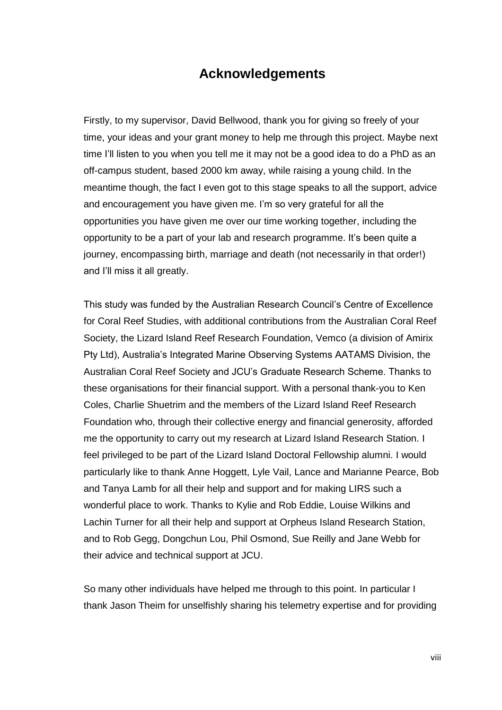## **Acknowledgements**

Firstly, to my supervisor, David Bellwood, thank you for giving so freely of your time, your ideas and your grant money to help me through this project. Maybe next time I'll listen to you when you tell me it may not be a good idea to do a PhD as an off-campus student, based 2000 km away, while raising a young child. In the meantime though, the fact I even got to this stage speaks to all the support, advice and encouragement you have given me. I'm so very grateful for all the opportunities you have given me over our time working together, including the opportunity to be a part of your lab and research programme. It's been quite a journey, encompassing birth, marriage and death (not necessarily in that order!) and I'll miss it all greatly.

This study was funded by the Australian Research Council's Centre of Excellence for Coral Reef Studies, with additional contributions from the Australian Coral Reef Society, the Lizard Island Reef Research Foundation, Vemco (a division of Amirix Pty Ltd), Australia's Integrated Marine Observing Systems AATAMS Division, the Australian Coral Reef Society and JCU's Graduate Research Scheme. Thanks to these organisations for their financial support. With a personal thank-you to Ken Coles, Charlie Shuetrim and the members of the Lizard Island Reef Research Foundation who, through their collective energy and financial generosity, afforded me the opportunity to carry out my research at Lizard Island Research Station. I feel privileged to be part of the Lizard Island Doctoral Fellowship alumni. I would particularly like to thank Anne Hoggett, Lyle Vail, Lance and Marianne Pearce, Bob and Tanya Lamb for all their help and support and for making LIRS such a wonderful place to work. Thanks to Kylie and Rob Eddie, Louise Wilkins and Lachin Turner for all their help and support at Orpheus Island Research Station, and to Rob Gegg, Dongchun Lou, Phil Osmond, Sue Reilly and Jane Webb for their advice and technical support at JCU.

So many other individuals have helped me through to this point. In particular I thank Jason Theim for unselfishly sharing his telemetry expertise and for providing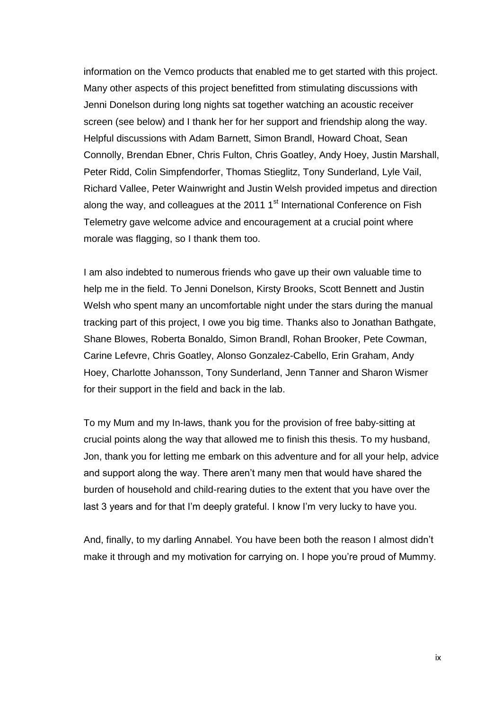information on the Vemco products that enabled me to get started with this project. Many other aspects of this project benefitted from stimulating discussions with Jenni Donelson during long nights sat together watching an acoustic receiver screen (see below) and I thank her for her support and friendship along the way. Helpful discussions with Adam Barnett, Simon Brandl, Howard Choat, Sean Connolly, Brendan Ebner, Chris Fulton, Chris Goatley, Andy Hoey, Justin Marshall, Peter Ridd, Colin Simpfendorfer, Thomas Stieglitz, Tony Sunderland, Lyle Vail, Richard Vallee, Peter Wainwright and Justin Welsh provided impetus and direction along the way, and colleagues at the 2011  $1<sup>st</sup>$  International Conference on Fish Telemetry gave welcome advice and encouragement at a crucial point where morale was flagging, so I thank them too.

I am also indebted to numerous friends who gave up their own valuable time to help me in the field. To Jenni Donelson, Kirsty Brooks, Scott Bennett and Justin Welsh who spent many an uncomfortable night under the stars during the manual tracking part of this project, I owe you big time. Thanks also to Jonathan Bathgate, Shane Blowes, Roberta Bonaldo, Simon Brandl, Rohan Brooker, Pete Cowman, Carine Lefevre, Chris Goatley, Alonso Gonzalez-Cabello, Erin Graham, Andy Hoey, Charlotte Johansson, Tony Sunderland, Jenn Tanner and Sharon Wismer for their support in the field and back in the lab.

To my Mum and my In-laws, thank you for the provision of free baby-sitting at crucial points along the way that allowed me to finish this thesis. To my husband, Jon, thank you for letting me embark on this adventure and for all your help, advice and support along the way. There aren't many men that would have shared the burden of household and child-rearing duties to the extent that you have over the last 3 years and for that I'm deeply grateful. I know I'm very lucky to have you.

And, finally, to my darling Annabel. You have been both the reason I almost didn't make it through and my motivation for carrying on. I hope you're proud of Mummy.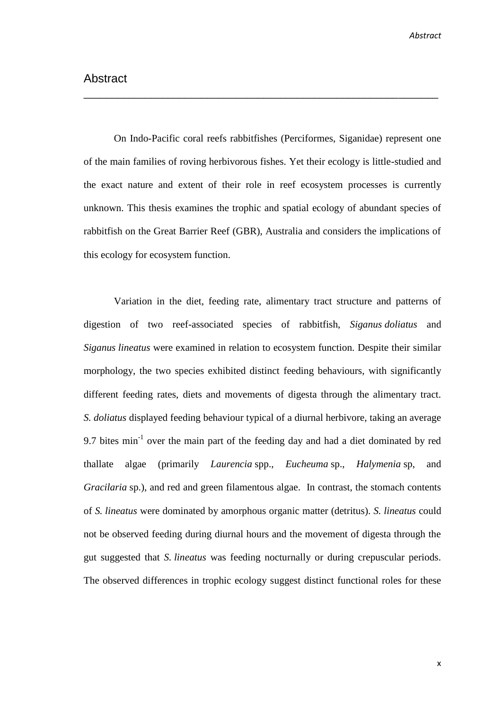On Indo-Pacific coral reefs rabbitfishes (Perciformes, Siganidae) represent one of the main families of roving herbivorous fishes. Yet their ecology is little-studied and the exact nature and extent of their role in reef ecosystem processes is currently unknown. This thesis examines the trophic and spatial ecology of abundant species of rabbitfish on the Great Barrier Reef (GBR), Australia and considers the implications of this ecology for ecosystem function.

\_\_\_\_\_\_\_\_\_\_\_\_\_\_\_\_\_\_\_\_\_\_\_\_\_\_\_\_\_\_\_\_\_\_\_\_\_\_\_\_\_\_\_\_\_\_\_\_\_\_\_\_\_\_\_\_\_\_\_\_\_\_\_

Variation in the diet, feeding rate, alimentary tract structure and patterns of digestion of two reef-associated species of rabbitfish, *Siganus doliatus* and *Siganus lineatus* were examined in relation to ecosystem function. Despite their similar morphology, the two species exhibited distinct feeding behaviours, with significantly different feeding rates, diets and movements of digesta through the alimentary tract. *S. doliatus* displayed feeding behaviour typical of a diurnal herbivore, taking an average 9.7 bites  $min^{-1}$  over the main part of the feeding day and had a diet dominated by red thallate algae (primarily *Laurencia* spp., *Eucheuma* sp., *Halymenia* sp, and *Gracilaria* sp.), and red and green filamentous algae. In contrast, the stomach contents of *S. lineatus* were dominated by amorphous organic matter (detritus). *S. lineatus* could not be observed feeding during diurnal hours and the movement of digesta through the gut suggested that *S. lineatus* was feeding nocturnally or during crepuscular periods. The observed differences in trophic ecology suggest distinct functional roles for these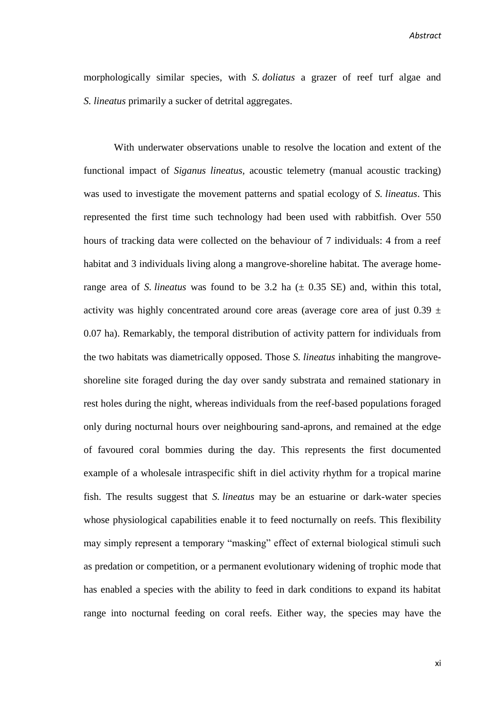morphologically similar species, with *S. doliatus* a grazer of reef turf algae and *S. lineatus* primarily a sucker of detrital aggregates.

With underwater observations unable to resolve the location and extent of the functional impact of *Siganus lineatus,* acoustic telemetry (manual acoustic tracking) was used to investigate the movement patterns and spatial ecology of *S. lineatus*. This represented the first time such technology had been used with rabbitfish. Over 550 hours of tracking data were collected on the behaviour of 7 individuals: 4 from a reef habitat and 3 individuals living along a mangrove-shoreline habitat. The average homerange area of *S. lineatus* was found to be 3.2 ha  $(\pm 0.35 \text{ SE})$  and, within this total, activity was highly concentrated around core areas (average core area of just  $0.39 \pm 1$ 0.07 ha). Remarkably, the temporal distribution of activity pattern for individuals from the two habitats was diametrically opposed. Those *S. lineatus* inhabiting the mangroveshoreline site foraged during the day over sandy substrata and remained stationary in rest holes during the night, whereas individuals from the reef-based populations foraged only during nocturnal hours over neighbouring sand-aprons, and remained at the edge of favoured coral bommies during the day. This represents the first documented example of a wholesale intraspecific shift in diel activity rhythm for a tropical marine fish. The results suggest that *S. lineatus* may be an estuarine or dark-water species whose physiological capabilities enable it to feed nocturnally on reefs. This flexibility may simply represent a temporary "masking" effect of external biological stimuli such as predation or competition, or a permanent evolutionary widening of trophic mode that has enabled a species with the ability to feed in dark conditions to expand its habitat range into nocturnal feeding on coral reefs. Either way, the species may have the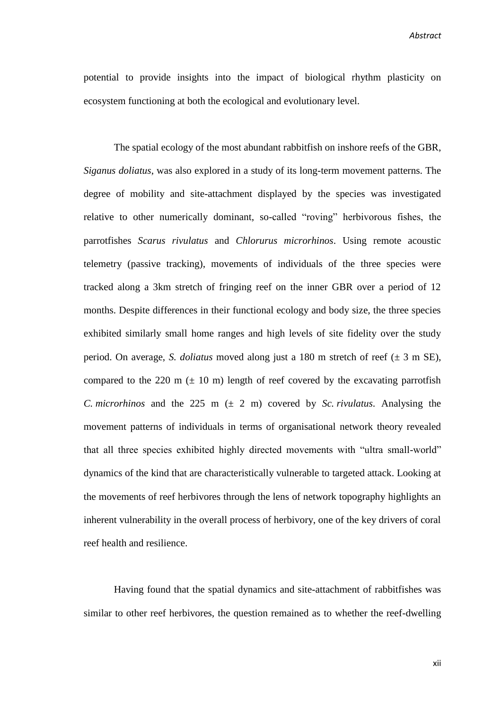*Abstract*

potential to provide insights into the impact of biological rhythm plasticity on ecosystem functioning at both the ecological and evolutionary level.

The spatial ecology of the most abundant rabbitfish on inshore reefs of the GBR, *Siganus doliatus*, was also explored in a study of its long-term movement patterns. The degree of mobility and site-attachment displayed by the species was investigated relative to other numerically dominant, so-called "roving" herbivorous fishes, the parrotfishes *Scarus rivulatus* and *Chlorurus microrhinos*. Using remote acoustic telemetry (passive tracking), movements of individuals of the three species were tracked along a 3km stretch of fringing reef on the inner GBR over a period of 12 months. Despite differences in their functional ecology and body size, the three species exhibited similarly small home ranges and high levels of site fidelity over the study period. On average, *S. doliatus* moved along just a 180 m stretch of reef (± 3 m SE), compared to the 220 m  $(\pm 10 \text{ m})$  length of reef covered by the excavating parrotfish *C. microrhinos* and the 225 m  $(\pm 2 \text{ m})$  covered by *Sc. rivulatus*. Analysing the movement patterns of individuals in terms of organisational network theory revealed that all three species exhibited highly directed movements with "ultra small-world" dynamics of the kind that are characteristically vulnerable to targeted attack. Looking at the movements of reef herbivores through the lens of network topography highlights an inherent vulnerability in the overall process of herbivory, one of the key drivers of coral reef health and resilience.

Having found that the spatial dynamics and site-attachment of rabbitfishes was similar to other reef herbivores, the question remained as to whether the reef-dwelling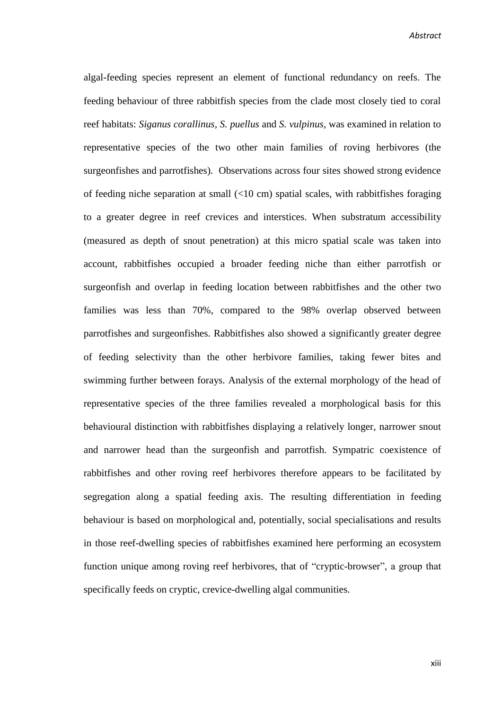*Abstract*

algal-feeding species represent an element of functional redundancy on reefs. The feeding behaviour of three rabbitfish species from the clade most closely tied to coral reef habitats: *Siganus corallinus, S. puellus* and *S. vulpinus*, was examined in relation to representative species of the two other main families of roving herbivores (the surgeonfishes and parrotfishes). Observations across four sites showed strong evidence of feeding niche separation at small (<10 cm) spatial scales, with rabbitfishes foraging to a greater degree in reef crevices and interstices. When substratum accessibility (measured as depth of snout penetration) at this micro spatial scale was taken into account, rabbitfishes occupied a broader feeding niche than either parrotfish or surgeonfish and overlap in feeding location between rabbitfishes and the other two families was less than 70%, compared to the 98% overlap observed between parrotfishes and surgeonfishes. Rabbitfishes also showed a significantly greater degree of feeding selectivity than the other herbivore families, taking fewer bites and swimming further between forays. Analysis of the external morphology of the head of representative species of the three families revealed a morphological basis for this behavioural distinction with rabbitfishes displaying a relatively longer, narrower snout and narrower head than the surgeonfish and parrotfish. Sympatric coexistence of rabbitfishes and other roving reef herbivores therefore appears to be facilitated by segregation along a spatial feeding axis. The resulting differentiation in feeding behaviour is based on morphological and, potentially, social specialisations and results in those reef-dwelling species of rabbitfishes examined here performing an ecosystem function unique among roving reef herbivores, that of "cryptic-browser", a group that specifically feeds on cryptic, crevice-dwelling algal communities.

xiii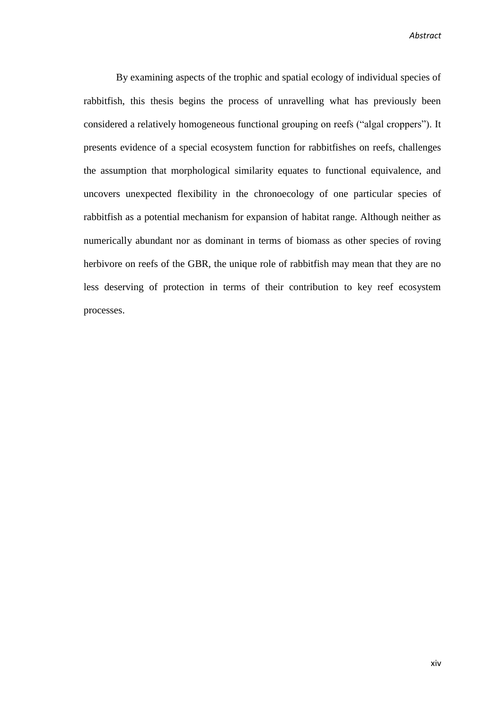*Abstract*

By examining aspects of the trophic and spatial ecology of individual species of rabbitfish, this thesis begins the process of unravelling what has previously been considered a relatively homogeneous functional grouping on reefs ("algal croppers"). It presents evidence of a special ecosystem function for rabbitfishes on reefs, challenges the assumption that morphological similarity equates to functional equivalence, and uncovers unexpected flexibility in the chronoecology of one particular species of rabbitfish as a potential mechanism for expansion of habitat range. Although neither as numerically abundant nor as dominant in terms of biomass as other species of roving herbivore on reefs of the GBR, the unique role of rabbitfish may mean that they are no less deserving of protection in terms of their contribution to key reef ecosystem processes.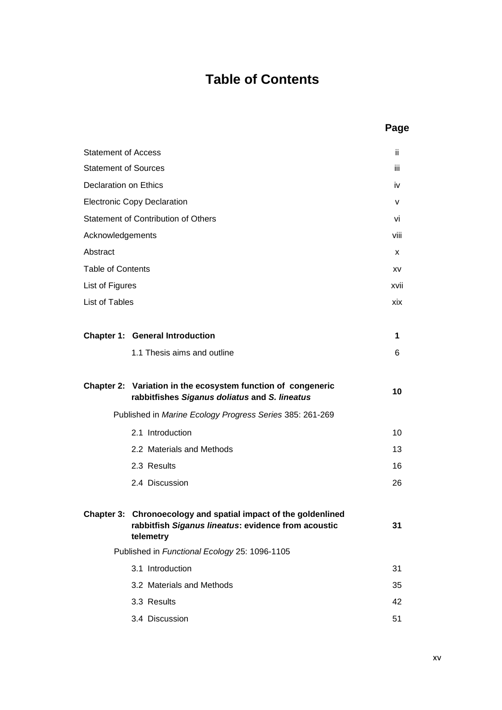## **Table of Contents**

|                             |                                                                                                                                    | rag  |
|-----------------------------|------------------------------------------------------------------------------------------------------------------------------------|------|
| <b>Statement of Access</b>  |                                                                                                                                    | ii.  |
| <b>Statement of Sources</b> |                                                                                                                                    | iii. |
| Declaration on Ethics       |                                                                                                                                    | iv   |
|                             | <b>Electronic Copy Declaration</b>                                                                                                 | v    |
|                             | <b>Statement of Contribution of Others</b>                                                                                         | vi   |
| Acknowledgements            |                                                                                                                                    | viii |
| Abstract                    |                                                                                                                                    | x    |
| <b>Table of Contents</b>    |                                                                                                                                    | XV   |
| List of Figures             |                                                                                                                                    | xvii |
| List of Tables              |                                                                                                                                    | xix  |
|                             |                                                                                                                                    |      |
|                             | <b>Chapter 1: General Introduction</b>                                                                                             | 1    |
|                             | 1.1 Thesis aims and outline                                                                                                        | 6    |
|                             | Chapter 2: Variation in the ecosystem function of congeneric<br>rabbitfishes Siganus doliatus and S. lineatus                      | 10   |
|                             | Published in Marine Ecology Progress Series 385: 261-269                                                                           |      |
|                             | 2.1 Introduction                                                                                                                   | 10   |
|                             | 2.2 Materials and Methods                                                                                                          | 13   |
|                             | 2.3 Results                                                                                                                        | 16   |
|                             | 2.4 Discussion                                                                                                                     | 26   |
|                             | Chapter 3: Chronoecology and spatial impact of the goldenlined<br>rabbitfish Siganus lineatus: evidence from acoustic<br>telemetry | 31   |
|                             | Published in Functional Ecology 25: 1096-1105                                                                                      |      |
|                             | 3.1 Introduction                                                                                                                   | 31   |
|                             | 3.2 Materials and Methods                                                                                                          | 35   |
|                             | 3.3 Results                                                                                                                        | 42   |
|                             | 3.4 Discussion                                                                                                                     | 51   |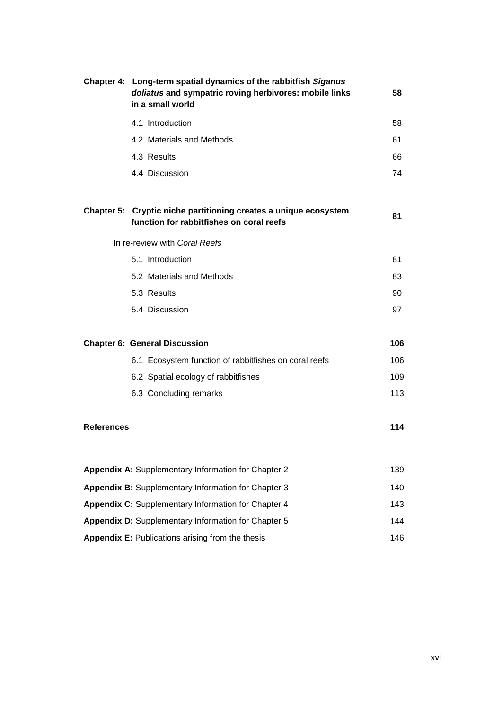|                   | Chapter 4: Long-term spatial dynamics of the rabbitfish Siganus<br>doliatus and sympatric roving herbivores: mobile links<br>in a small world | 58  |
|-------------------|-----------------------------------------------------------------------------------------------------------------------------------------------|-----|
|                   | 4.1 Introduction                                                                                                                              | 58  |
|                   | 4.2 Materials and Methods                                                                                                                     | 61  |
|                   | 4.3 Results                                                                                                                                   | 66  |
|                   | 4.4 Discussion                                                                                                                                | 74  |
|                   | Chapter 5: Cryptic niche partitioning creates a unique ecosystem<br>function for rabbitfishes on coral reefs                                  | 81  |
|                   | In re-review with Coral Reefs                                                                                                                 |     |
|                   | 5.1 Introduction                                                                                                                              | 81  |
|                   | 5.2 Materials and Methods                                                                                                                     | 83  |
|                   | 5.3 Results                                                                                                                                   | 90  |
|                   | 5.4 Discussion                                                                                                                                | 97  |
|                   | <b>Chapter 6: General Discussion</b>                                                                                                          | 106 |
|                   | 6.1 Ecosystem function of rabbitfishes on coral reefs                                                                                         | 106 |
|                   | 6.2 Spatial ecology of rabbitfishes                                                                                                           | 109 |
|                   | 6.3 Concluding remarks                                                                                                                        | 113 |
| <b>References</b> |                                                                                                                                               | 114 |
|                   | <b>Appendix A: Supplementary Information for Chapter 2</b>                                                                                    | 139 |
|                   | <b>Appendix B:</b> Supplementary Information for Chapter 3                                                                                    | 140 |
|                   | <b>Appendix C:</b> Supplementary Information for Chapter 4                                                                                    | 143 |
|                   | <b>Appendix D:</b> Supplementary Information for Chapter 5                                                                                    | 144 |
|                   | Appendix E: Publications arising from the thesis                                                                                              | 146 |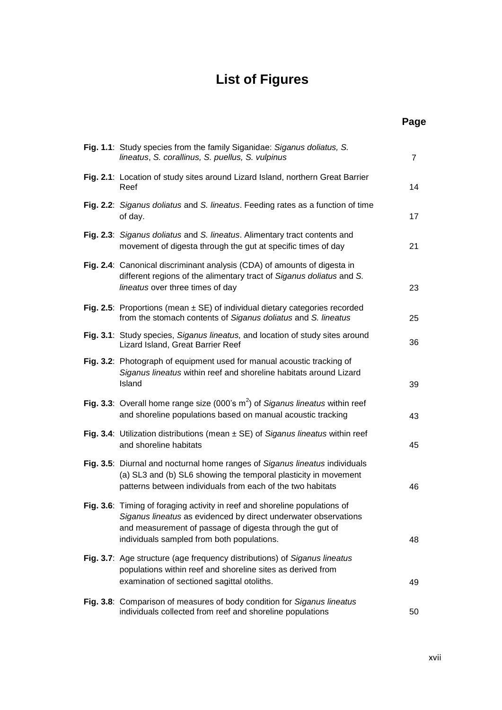# **List of Figures**

| ſ<br>٠<br>۰,<br>ł |
|-------------------|
|-------------------|

| Fig. 1.1: Study species from the family Siganidae: Siganus doliatus, S.<br>lineatus, S. corallinus, S. puellus, S. vulpinus                                                                                                                             | $\overline{7}$ |
|---------------------------------------------------------------------------------------------------------------------------------------------------------------------------------------------------------------------------------------------------------|----------------|
| Fig. 2.1: Location of study sites around Lizard Island, northern Great Barrier<br>Reef                                                                                                                                                                  | 14             |
| Fig. 2.2: Siganus doliatus and S. lineatus. Feeding rates as a function of time<br>of day.                                                                                                                                                              | 17             |
| Fig. 2.3: Siganus doliatus and S. lineatus. Alimentary tract contents and<br>movement of digesta through the gut at specific times of day                                                                                                               | 21             |
| Fig. 2.4: Canonical discriminant analysis (CDA) of amounts of digesta in<br>different regions of the alimentary tract of Siganus doliatus and S.<br>lineatus over three times of day                                                                    | 23             |
| Fig. 2.5: Proportions (mean $\pm$ SE) of individual dietary categories recorded<br>from the stomach contents of Siganus doliatus and S. lineatus                                                                                                        | 25             |
| Fig. 3.1: Study species, Siganus lineatus, and location of study sites around<br>Lizard Island, Great Barrier Reef                                                                                                                                      | 36             |
| Fig. 3.2: Photograph of equipment used for manual acoustic tracking of<br>Siganus lineatus within reef and shoreline habitats around Lizard<br>Island                                                                                                   | 39             |
| Fig. 3.3: Overall home range size (000's $m2$ ) of Siganus lineatus within reef<br>and shoreline populations based on manual acoustic tracking                                                                                                          | 43             |
| Fig. 3.4: Utilization distributions (mean $\pm$ SE) of Siganus lineatus within reef<br>and shoreline habitats                                                                                                                                           | 45             |
| Fig. 3.5: Diurnal and nocturnal home ranges of Siganus lineatus individuals<br>(a) SL3 and (b) SL6 showing the temporal plasticity in movement<br>patterns between individuals from each of the two habitats                                            | 46             |
| Fig. 3.6: Timing of foraging activity in reef and shoreline populations of<br>Siganus lineatus as evidenced by direct underwater observations<br>and measurement of passage of digesta through the gut of<br>individuals sampled from both populations. | 48             |
| Fig. 3.7: Age structure (age frequency distributions) of Siganus lineatus<br>populations within reef and shoreline sites as derived from<br>examination of sectioned sagittal otoliths.                                                                 | 49             |
| Fig. 3.8: Comparison of measures of body condition for Siganus lineatus<br>individuals collected from reef and shoreline populations                                                                                                                    | 50             |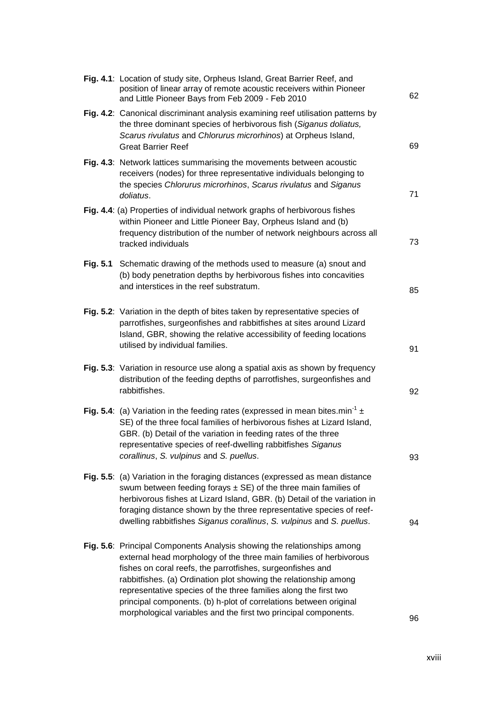| Fig. 4.1: Location of study site, Orpheus Island, Great Barrier Reef, and<br>position of linear array of remote acoustic receivers within Pioneer<br>and Little Pioneer Bays from Feb 2009 - Feb 2010                                                                                                                                                                                                                                                                                       | 62 |
|---------------------------------------------------------------------------------------------------------------------------------------------------------------------------------------------------------------------------------------------------------------------------------------------------------------------------------------------------------------------------------------------------------------------------------------------------------------------------------------------|----|
| Fig. 4.2: Canonical discriminant analysis examining reef utilisation patterns by<br>the three dominant species of herbivorous fish (Siganus doliatus,<br>Scarus rivulatus and Chlorurus microrhinos) at Orpheus Island,<br><b>Great Barrier Reef</b>                                                                                                                                                                                                                                        | 69 |
| Fig. 4.3: Network lattices summarising the movements between acoustic<br>receivers (nodes) for three representative individuals belonging to<br>the species Chlorurus microrhinos, Scarus rivulatus and Siganus<br>doliatus.                                                                                                                                                                                                                                                                | 71 |
| Fig. 4.4: (a) Properties of individual network graphs of herbivorous fishes<br>within Pioneer and Little Pioneer Bay, Orpheus Island and (b)<br>frequency distribution of the number of network neighbours across all<br>tracked individuals                                                                                                                                                                                                                                                | 73 |
| Fig. 5.1 Schematic drawing of the methods used to measure (a) snout and<br>(b) body penetration depths by herbivorous fishes into concavities<br>and interstices in the reef substratum.                                                                                                                                                                                                                                                                                                    | 85 |
| Fig. 5.2: Variation in the depth of bites taken by representative species of<br>parrotfishes, surgeonfishes and rabbitfishes at sites around Lizard<br>Island, GBR, showing the relative accessibility of feeding locations<br>utilised by individual families.                                                                                                                                                                                                                             | 91 |
| Fig. 5.3: Variation in resource use along a spatial axis as shown by frequency<br>distribution of the feeding depths of parrotfishes, surgeonfishes and<br>rabbitfishes.                                                                                                                                                                                                                                                                                                                    | 92 |
| Fig. 5.4: (a) Variation in the feeding rates (expressed in mean bites.min <sup>-1</sup> $\pm$<br>SE) of the three focal families of herbivorous fishes at Lizard Island,<br>GBR. (b) Detail of the variation in feeding rates of the three<br>representative species of reef-dwelling rabbitfishes Siganus<br>corallinus, S. vulpinus and S. puellus.                                                                                                                                       | 93 |
| Fig. 5.5: (a) Variation in the foraging distances (expressed as mean distance<br>swum between feeding forays $\pm$ SE) of the three main families of<br>herbivorous fishes at Lizard Island, GBR. (b) Detail of the variation in<br>foraging distance shown by the three representative species of reef-<br>dwelling rabbitfishes Siganus corallinus, S. vulpinus and S. puellus.                                                                                                           | 94 |
| Fig. 5.6: Principal Components Analysis showing the relationships among<br>external head morphology of the three main families of herbivorous<br>fishes on coral reefs, the parrotfishes, surgeonfishes and<br>rabbitfishes. (a) Ordination plot showing the relationship among<br>representative species of the three families along the first two<br>principal components. (b) h-plot of correlations between original<br>morphological variables and the first two principal components. | 96 |